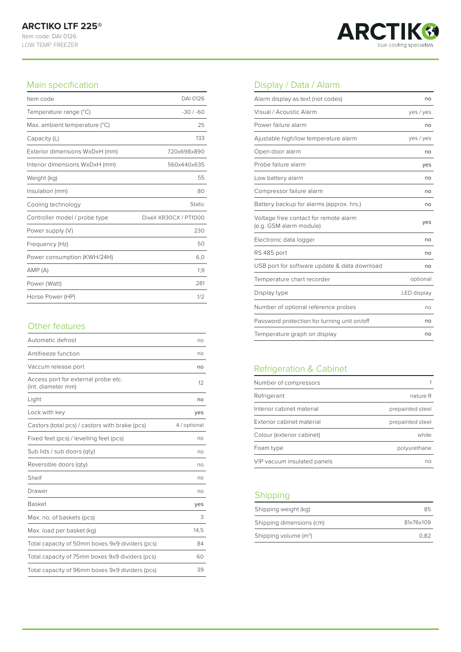

#### Main specification

| Item code                      | DAI 0126               |
|--------------------------------|------------------------|
| Temperature range (°C)         | $-30/ -60$             |
| Max. ambient temperature (°C)  | 25                     |
| Capacity (L)                   | 133                    |
| Exterior dimensions WxDxH (mm) | 720x698x890            |
| Interior dimensions WxDxH (mm) | 560x440x635            |
| Weight (kg)                    | 55                     |
| Insulation (mm)                | 80                     |
| Cooling technology             | <b>Static</b>          |
| Controller model / probe type  | Dixell XR30CX / PT1000 |
| Power supply (V)               | 230                    |
| Frequency (Hz)                 | 50                     |
| Power consumption (KWH/24H)    | 6,0                    |
| AMP(A)                         | 1,9                    |
| Power (Watt)                   | 281                    |
| Horse Power (HP)               | 1/2                    |

#### Other features

| Automatic defrost                                         | no           |
|-----------------------------------------------------------|--------------|
| Antifreeze function                                       | no           |
| Vaccum release port                                       | no           |
| Access port for external probe etc.<br>(Int. diameter mm) | 12           |
| Light                                                     | no           |
| Lock with key                                             | yes          |
| Castors (total pcs) / castors with brake (pcs)            | 4 / optional |
| Fixed feet (pcs) / levelling feet (pcs)                   | no           |
| Sub lids / sub doors (qty)                                | no           |
| Reversible doors (qty)                                    | no           |
| Shelf                                                     | no           |
| Drawer                                                    | no           |
| <b>Basket</b>                                             | yes          |
| Max. no. of baskets (pcs)                                 | 3            |
| Max. load per basket (kg)                                 | 14,5         |
| Total capacity of 50mm boxes 9x9 dividers (pcs)           | 84           |
| Total capacity of 75mm boxes 9x9 dividers (pcs)           | 60           |
| Total capacity of 96mm boxes 9x9 dividers (pcs)           | 39           |

# Display / Data / Alarm

| Alarm display as text (not codes)                                | no          |
|------------------------------------------------------------------|-------------|
| Visual / Acoustic Alarm                                          | yes / yes   |
| Power failure alarm                                              | no          |
| Ajustable high/low temperature alarm                             | yes / yes   |
| Open door alarm                                                  | no          |
| Probe failure alarm                                              | yes         |
| Low battery alarm                                                | no          |
| Compressor failure alarm                                         | no          |
| Battery backup for alarms (approx. hrs.)                         | no          |
| Voltage free contact for remote alarm<br>(e.g. GSM alarm module) | yes         |
| Electronic data logger                                           | no          |
| RS 485 port                                                      | no          |
| USB port for software update & data download                     | no          |
| Temperature chart recorder                                       | optional    |
| Display type                                                     | LED display |
| Number of optional reference probes                              | no          |
| Password protection for turning unit on/off                      | no          |
| Temperature graph on display                                     | no          |

# Refrigeration & Cabinet

| Number of compressors       |                  |
|-----------------------------|------------------|
| Refrigerant                 | nature R         |
| Interior cabinet material   | prepainted steel |
| Exterior cabinet material   | prepainted steel |
| Colour (exterior cabinet)   | white            |
| Foam type                   | polyurethane     |
| VIP vacuum insulated panels | no               |

## Shipping

| Shipping weight (kg)     | 85        |
|--------------------------|-----------|
| Shipping dimensions (cm) | 81x76x109 |
| Shipping volume $(m^3)$  | 0.82      |